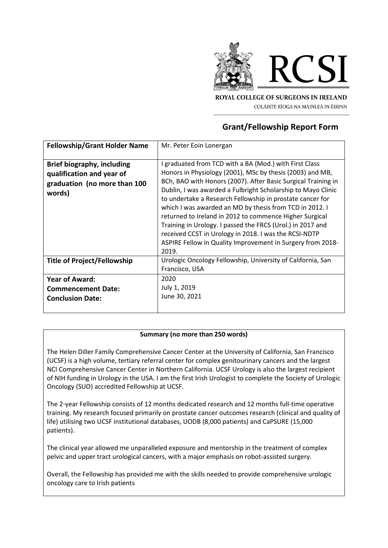

**ROYAL COLLEGE OF SURGEONS IN IRELAND** COLÁISTE RÍOGA NA MÁINLEÁ IN ÉIRINN

## **Grant/Fellowship Report Form**

| <b>Fellowship/Grant Holder Name</b>                                                                      | Mr. Peter Eoin Lonergan                                                                                                                                                                                                                                                                                                                                                                                                                                                                                                                                                                                                               |
|----------------------------------------------------------------------------------------------------------|---------------------------------------------------------------------------------------------------------------------------------------------------------------------------------------------------------------------------------------------------------------------------------------------------------------------------------------------------------------------------------------------------------------------------------------------------------------------------------------------------------------------------------------------------------------------------------------------------------------------------------------|
| <b>Brief biography, including</b><br>qualification and year of<br>graduation (no more than 100<br>words) | I graduated from TCD with a BA (Mod.) with First Class<br>Honors in Physiology (2001), MSc by thesis (2003) and MB,<br>BCh, BAO with Honors (2007). After Basic Surgical Training in<br>Dublin, I was awarded a Fulbright Scholarship to Mayo Clinic<br>to undertake a Research Fellowship in prostate cancer for<br>which I was awarded an MD by thesis from TCD in 2012. I<br>returned to Ireland in 2012 to commence Higher Surgical<br>Training in Urology. I passed the FRCS (Urol.) in 2017 and<br>received CCST in Urology in 2018. I was the RCSI-NDTP<br>ASPIRE Fellow in Quality Improvement in Surgery from 2018-<br>2019. |
| <b>Title of Project/Fellowship</b>                                                                       | Urologic Oncology Fellowship, University of California, San<br>Francisco, USA                                                                                                                                                                                                                                                                                                                                                                                                                                                                                                                                                         |
| <b>Year of Award:</b><br><b>Commencement Date:</b><br><b>Conclusion Date:</b>                            | 2020<br>July 1, 2019<br>June 30, 2021                                                                                                                                                                                                                                                                                                                                                                                                                                                                                                                                                                                                 |

## **Summary (no more than 250 words)**

The Helen Diller Family Comprehensive Cancer Center at the University of California, San Francisco (UCSF) is a high volume, tertiary referral center for complex genitourinary cancers and the largest NCI Comprehensive Cancer Center in Northern California. UCSF Urology is also the largest recipient of NIH funding in Urology in the USA. I am the first Irish Urologist to complete the Society of Urologic Oncology (SUO) accredited Fellowship at UCSF.

The 2-year Fellowship consists of 12 months dedicated research and 12 months full-time operative training. My research focused primarily on prostate cancer outcomes research (clinical and quality of life) utilising two UCSF institutional databases, UODB (8,000 patients) and CaPSURE (15,000 patients).

The clinical year allowed me unparalleled exposure and mentorship in the treatment of complex pelvic and upper tract urological cancers, with a major emphasis on robot-assisted surgery.

Overall, the Fellowship has provided me with the skills needed to provide comprehensive urologic oncology care to Irish patients